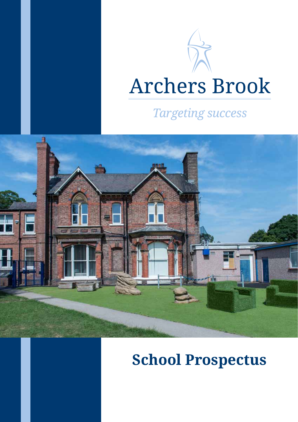# **Archers Brook**

## **Targeting success**



# **School Prospectus**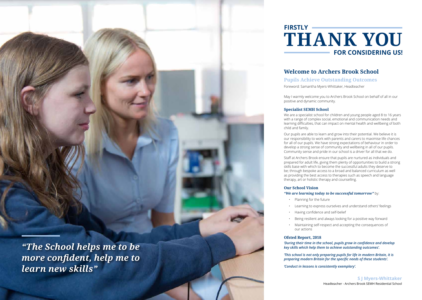*"The School helps me to be more confident, help me to learn new skills"*

# **FOR CONSIDERING US!** FIRSTLY **HRSTLY**

Headteacher - Archers Brook SEMH Residential School

#### **S J Myers-Whittaker**

## **Welcome to Archers Brook School**

#### **Pupils Achieve Outstanding Outcomes**



Foreword: Samantha Myers-Whittaker, Headteacher

May I warmly welcome you to Archers Brook School on behalf of all in our positive and dynamic community.

#### **Specialist SEM H School**

We are a specialist school for children and young people aged 8 to 16 years with a range of complex social, emotional and communication needs and learning difficulties, that can impact on mental health and wellbeing of both

child and family.

Our pupils are able to learn and grow into their potential. We believe it is our responsibility to work with parents and carers to maximise life chances for all of our pupils. We have strong expectations of behaviour in order to develop a strong sense of community and wellbeing in all of our pupils. Community sense and pride in our school is a driver for all that we do.

Staff at Archers Brook ensure that pupils are nurtured as individuals and prepared for adult life, giving them plenty of opportunities to build a strong skills base with which to become the successful adults they deserve to be; through bespoke access to a broad and balanced curriculum as well as providing the best access to therapies such as speech and language therapy, art or holistic therapy and counselling.

## **Our School Vision**

#### *"We are learning today to be successful tomorrow"* by:

• Planning for the future

• Learning to express ourselves and understand others' feelings

• Having confidence and self-belief

• Being resilient and always looking for a positive way forward

• Maintaining self-respect and accepting the consequences of

- 
- 
- 
- 
- our actions

**Ofsted Report, 2018**

*'During their time in the school, pupils grow in confidence and develop key skills which help them to achieve outstanding outcomes'.*

*'This school is not only preparing pupils for life in modern Britain, it is preparing modern Britain for the specific needs of these students'.*

*'Conduct in lessons is consistently exemplary'.*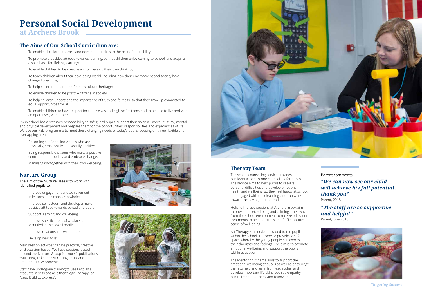# **Personal Social Development**

## **at Archers Brook**

#### **The Aims of Our School Curriculum are:**

- To enable all children to learn and develop their skills to the best of their ability;
- To promote a positive attitude towards learning, so that children enjoy coming to school, and acquire a solid basis for lifelong learning;
- To enable children to be creative and to develop their own thinking;
- To teach children about their developing world, including how their environment and society have changed over time;
- To help children understand Britain's cultural heritage;
- To enable children to be positive citizens in society;
- To help children understand the importance of truth and fairness, so that they grow up committed to equal opportunities for all;
- To enable children to have respect for themselves and high self-esteem, and to be able to live and work co-operatively with others.

Every school has a statutory responsibility to safeguard pupils, support their spiritual, moral, cultural, mental and physical development and prepare them for the opportunities, responsibilities and experiences of life. We use our PSD programme to meet these changing needs of today's pupils focusing on three flexible and overlapping areas;

- Becoming confident individuals who are physically, emotionally and socially healthy;
- Being responsible citizens who make a positive contribution to society and embrace change;
- Managing risk together with their own wellbeing.

### **Nurture Group**

#### The aim of the Nurture Base is to work with identified pupils to:

#### *"The staff are so supportive and helpful"* Parent, June 2018



- Improve engagement and achievement in lessons and school as a whole;
- Improve self-esteem and develop a more positive attitude towards school and peers;
- Support learning and well-being;
- Improve specific areas of weakness identified in the Boxall profile;
- Improve relationships with others;
- Develop new skills.

Main session activities can be practical, creative or discussion based. We have sessions based around the Nurture Group Network 's publications "Nurturing Talk" and "Nurturing Social and Emotional Development".

Staff have undergone training to use Lego as a resource in sessions as either "Lego Therapy" or "Lego Build to Express".







## **Therapy Team**

The school counselling service provides confidential one-to-one counselling for pupils. The service aims to help pupils to resolve personal difficulties and develop emotional health and wellbeing, so they feel happy at school, are engaged with their learning, and can work towards achieving their potential.

Holistic Therapy sessions at Archers Brook aim to provide quiet, relaxing and calming time away from the school environment to receive relaxation treatments to help de-stress and fulfil a positive sense of well-being.

Art Therapy is a service provided to the pupils within the school. The service provides a safe space whereby the young people can express their thoughts and feelings. The aim is to promote emotional wellbeing and support the pupils within education.

The Mentoring scheme aims to support the emotional wellbeing of pupils as well as encourage them to help and learn from each other and develop important life skills, such as empathy, commitment to others, and teamwork.

#### Parent comments:

*"We can now see our child will achieve his full potential, thank you"*

Parent, 2018

*Targeting Success*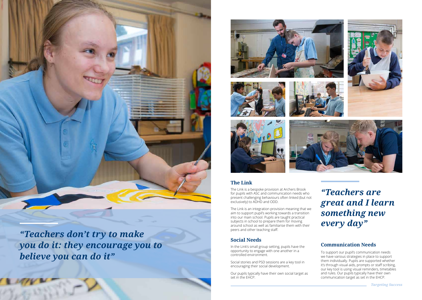

*"Teachers don't try to make you do it: they encourage you to believe you can do it"*











### **The Link**

The Link is a bespoke provision at Archers Brook for pupils with ASC and communication needs who present challenging behaviours often linked (but not exclusively) to ADHD and ODD.

The Link is an integration provision meaning that we aim to support pupil's working towards a transition into our main school. Pupils are taught practical subjects in school to prepare them for moving around school as well as familiarise them with their peers and other teaching staff.

### **Social Needs**

In the Link's small group setting, pupils have the opportunity to engage with one another in a controlled environment.

Social stories and PSD sessions are a key tool in encouraging their social development.

Our pupils typically have their own social target as set in the EHCP.







#### **Communication Needs**

To support our pupil's communication needs we have various strategies in place to support them individually. Pupils are supported whether it's through visual aids, prompts or staff scribing, our key tool is using visual reminders, timetables and rules. Our pupils typically have their own communication target as set in the EHCP.

## *"Teachers are great and I learn something new every day"*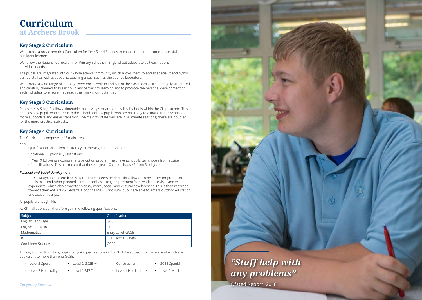#### **Key Stage 2 Curriculum**

We provide a broad and rich Curriculum for Year 5 and 6 pupils to enable them to become successful and confident learners.

We follow the National Curriculum for Primary Schools in England but adapt it to suit each pupils' individual needs.

The pupils are integrated into our whole school community which allows them to access specialist and highly trained staff as well as specialist teaching areas, such as the science laboratory.

We provide a wide range of learning experiences both in and out of the classroom which are highly structured and carefully planned to break down any barriers to learning and to promote the personal development of each individual to ensure they reach their maximum potential.

#### **Key Stage 3 Curriculum**

Pupils in Key Stage 3 follow a timetable that is very similar to many local schools within the CH postcode. This enables new pupils who enter into the school and any pupils who are returning to a main stream school a more supportive and easier transition. The majority of lessons are in 30 minute sessions; these are doubled for the more practical subjects.

#### **Key Stage 4 Curriculum**

The Curriculum comprises of 3 main areas:-

#### *Core*

- Qualifications are taken in Literacy, Numeracy, ICT and Science
- Vocational / Optional Qualifications
- In Year 9 following a comprehensive option programme of events, pupils can choose from a suite of qualifications. This has meant that those in year 10 could choose 2 from 5 subjects.

#### *Personal and Social Development*

• PSD is taught in discrete blocks by the PSD/Careers teacher. This allows it to be easier for groups of pupils to attend other planned activities and visits (e.g. employment fairs, work place visits and work experience) which also promote spiritual, moral, social, and cultural development. This is then recorded towards their ASDAN PSD Award. Along the PSD Curriculum, pupils are able to access outdoor education and academic trips.

#### All pupils are taught PE.

At KS4, all pupils can therefore gain the following qualifications:

Through our option block, pupils can gain qualifications in 2 or 3 of the subjects below, some of which are equivalent to more than one GCSE.

- Level 2 Sport
	- Level 2 GCSE Art
- Construction
- GCSE Spanish

- Level 2 Hospitality • Level 1 BTEC
- Level 1 Horticulture
	- Level 2 Music

**Curriculum at Archers Brook**

| Subject                 | Qualification      |
|-------------------------|--------------------|
| <b>English Language</b> | GCSE               |
| English Literature      | <b>GCSE</b>        |
| Mathematics             | Entry Level, GCSE  |
| CT                      | ECDL and E. Safety |
| Combined Science        | GCSE               |

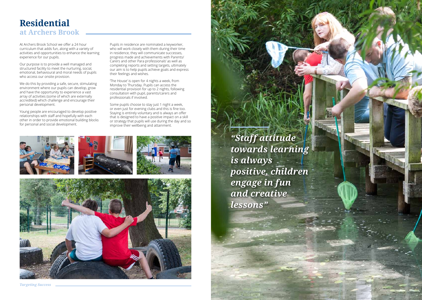*Targeting Success*

## **Residential at Archers Brook**

At Archers Brook School we offer a 24 hour curriculum that adds fun, along with a variety of activities and opportunities to enhance the learning experience for our pupils.

Our purpose is to provide a well managed and structured facility to meet the nurturing, social, emotional, behavioural and moral needs of pupils who access our onsite provision.

We do this by providing a safe, secure, stimulating environment where our pupils can develop, grow and have the opportunity to experience a vast array of activities (some of which are externally accredited) which challenge and encourage their personal development.

Young people are encouraged to develop positive relationships with staff and hopefully with each other in order to provide emotional building blocks for personal and social development.

Pupils in residence are nominated a keyworker, who will work closely with them during their time in residence, they will communicate successes, progress made and achievements with Parents/ Carers and other Para professionals' as well as completing reports and setting targets, ultimately our aim is to help pupils achieve goals and express their feelings and wishes.

'The House' is open for 4 nights a week, from Monday to Thursday. Pupils can access the residential provision for up to 2 nights, following consultation with pupil, parents/carers and professionals if involved.

Some pupils choose to stay just 1 night a week, or even just for evening clubs and this is fine too. Staying is entirely voluntary and is always an offer that is designed to have a positive impact on a skill or strategy that pupils will use during the day and so improve their wellbeing and attainment.





*"Staff attitude towards learning is always positive, children engage in fun and creative lessons"*